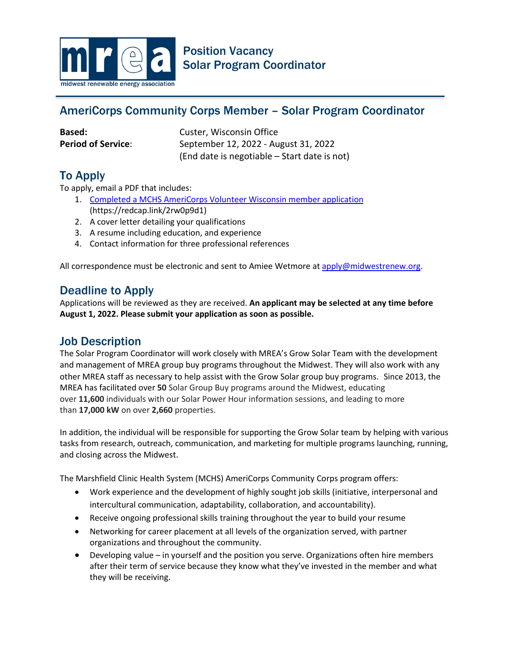

# AmeriCorps Community Corps Member – Solar Program Coordinator

**Based:** Custer, Wisconsin Office **Period of Service:** September 12, 2022 - August 31, 2022 (End date is negotiable – Start date is not)

# To Apply

To apply, email a PDF that includes:

- 1. [Completed a MCHS AmeriCorps Volunteer Wisconsin member application](https://redcap.link/2rw0p9d1) (https://redcap.link/2rw0p9d1)
- 2. A cover letter detailing your qualifications
- 3. A resume including education, and experience
- 4. Contact information for three professional references

All correspondence must be electronic and sent to Amiee Wetmore a[t apply@midwestrenew.org.](mailto:apply@midwestrenew.org)

### Deadline to Apply

Applications will be reviewed as they are received. **An applicant may be selected at any time before August 1, 2022. Please submit your application as soon as possible.**

### Job Description

The Solar Program Coordinator will work closely with MREA's Grow Solar Team with the development and management of MREA group buy programs throughout the Midwest. They will also work with any other MREA staff as necessary to help assist with the Grow Solar group buy programs. Since 2013, the MREA has facilitated over **50** Solar Group Buy programs around the Midwest, educating over **11,600** individuals with our Solar Power Hour information sessions, and leading to more than **17,000 kW** on over **2,660** properties.

In addition, the individual will be responsible for supporting the Grow Solar team by helping with various tasks from research, outreach, communication, and marketing for multiple programs launching, running, and closing across the Midwest.

The Marshfield Clinic Health System (MCHS) AmeriCorps Community Corps program offers:

- Work experience and the development of highly sought job skills (initiative, interpersonal and intercultural communication, adaptability, collaboration, and accountability).
- Receive ongoing professional skills training throughout the year to build your resume
- Networking for career placement at all levels of the organization served, with partner organizations and throughout the community.
- Developing value in yourself and the position you serve. Organizations often hire members after their term of service because they know what they've invested in the member and what they will be receiving.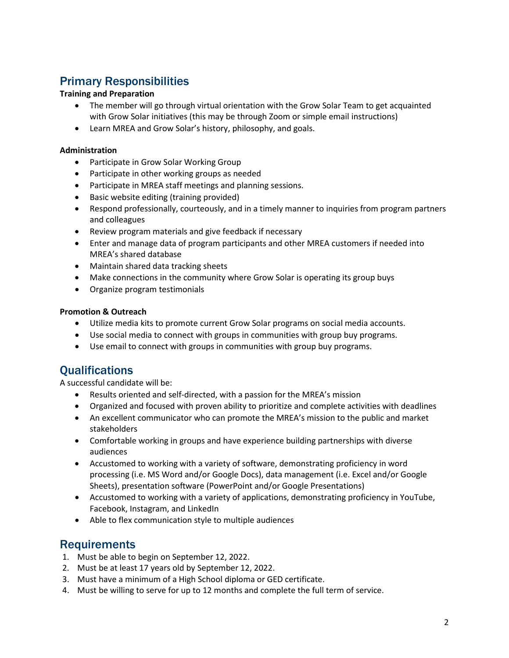## Primary Responsibilities

### **Training and Preparation**

- The member will go through virtual orientation with the Grow Solar Team to get acquainted with Grow Solar initiatives (this may be through Zoom or simple email instructions)
- Learn MREA and Grow Solar's history, philosophy, and goals.

#### **Administration**

- Participate in Grow Solar Working Group
- Participate in other working groups as needed
- Participate in MREA staff meetings and planning sessions.
- Basic website editing (training provided)
- Respond professionally, courteously, and in a timely manner to inquiries from program partners and colleagues
- Review program materials and give feedback if necessary
- Enter and manage data of program participants and other MREA customers if needed into MREA's shared database
- Maintain shared data tracking sheets
- Make connections in the community where Grow Solar is operating its group buys
- Organize program testimonials

#### **Promotion & Outreach**

- Utilize media kits to promote current Grow Solar programs on social media accounts.
- Use social media to connect with groups in communities with group buy programs.
- Use email to connect with groups in communities with group buy programs.

## **Oualifications**

A successful candidate will be:

- Results oriented and self-directed, with a passion for the MREA's mission
- Organized and focused with proven ability to prioritize and complete activities with deadlines
- An excellent communicator who can promote the MREA's mission to the public and market stakeholders
- Comfortable working in groups and have experience building partnerships with diverse audiences
- Accustomed to working with a variety of software, demonstrating proficiency in word processing (i.e. MS Word and/or Google Docs), data management (i.e. Excel and/or Google Sheets), presentation software (PowerPoint and/or Google Presentations)
- Accustomed to working with a variety of applications, demonstrating proficiency in YouTube, Facebook, Instagram, and LinkedIn
- Able to flex communication style to multiple audiences

## **Requirements**

- 1. Must be able to begin on September 12, 2022.
- 2. Must be at least 17 years old by September 12, 2022.
- 3. Must have a minimum of a High School diploma or GED certificate.
- 4. Must be willing to serve for up to 12 months and complete the full term of service.